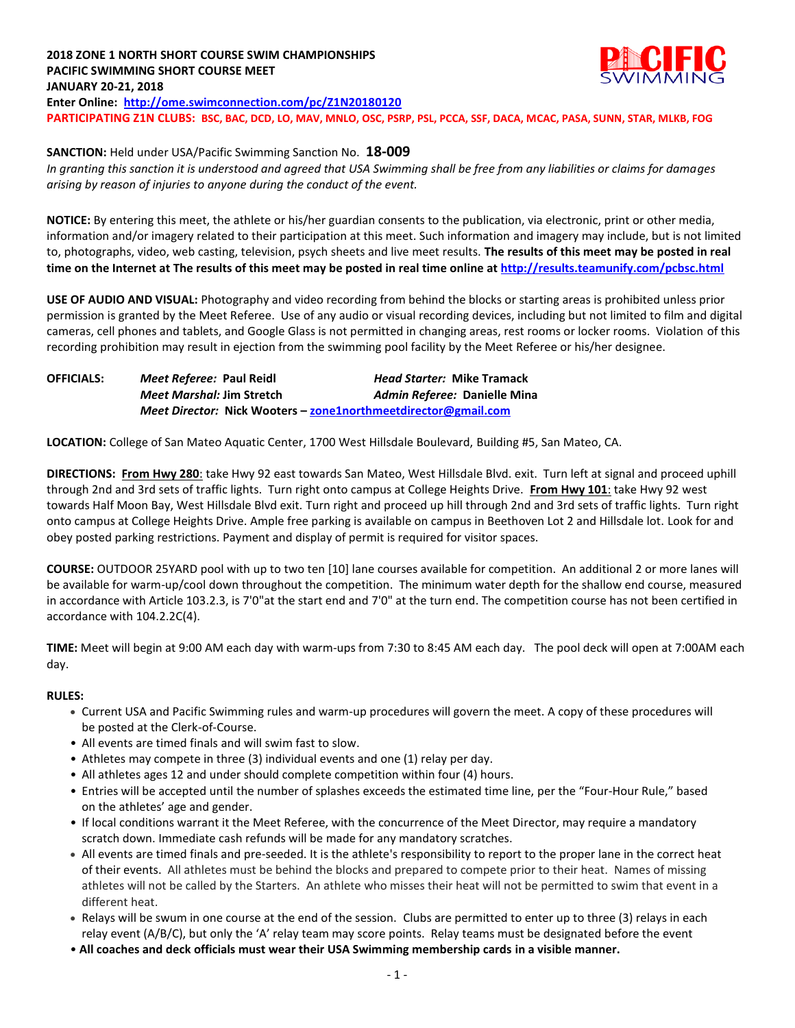## **2018 ZONE 1 NORTH SHORT COURSE SWIM CHAMPIONSHIPS PACIFIC SWIMMING SHORT COURSE MEET JANUARY 20-21, 2018 Enter Online: <http://ome.swimconnection.com/pc/Z1N20180120> PARTICIPATING Z1N CLUBS: BSC, BAC, DCD, LO, MAV, MNLO, OSC, PSRP, PSL, PCCA, SSF, DACA, MCAC, PASA, SUNN, STAR, MLKB, FOG**

**SANCTION:** Held under USA/Pacific Swimming Sanction No. **18-009** *In granting this sanction it is understood and agreed that USA Swimming shall be free from any liabilities or claims for damages arising by reason of injuries to anyone during the conduct of the event.*

**NOTICE:** By entering this meet, the athlete or his/her guardian consents to the publication, via electronic, print or other media, information and/or imagery related to their participation at this meet. Such information and imagery may include, but is not limited to, photographs, video, web casting, television, psych sheets and live meet results. **The results of this meet may be posted in real time on the Internet at The results of this meet may be posted in real time online a[t http://results.teamunify.com/pcbsc.html](http://results.teamunify.com/psba.html)**

**USE OF AUDIO AND VISUAL:** Photography and video recording from behind the blocks or starting areas is prohibited unless prior permission is granted by the Meet Referee. Use of any audio or visual recording devices, including but not limited to film and digital cameras, cell phones and tablets, and Google Glass is not permitted in changing areas, rest rooms or locker rooms. Violation of this recording prohibition may result in ejection from the swimming pool facility by the Meet Referee or his/her designee.

| <b>OFFICIALS:</b> | Meet Referee: Paul Reidl                                              | <b>Head Starter: Mike Tramack</b> |  |  |  |  |
|-------------------|-----------------------------------------------------------------------|-----------------------------------|--|--|--|--|
|                   | <i>Meet Marshal: Jim Stretch</i>                                      | Admin Referee: Danielle Mina      |  |  |  |  |
|                   | <i>Meet Director:</i> Nick Wooters – zone1northmeetdirector@gmail.com |                                   |  |  |  |  |

**LOCATION:** College of San Mateo Aquatic Center, 1700 West Hillsdale Boulevard, Building #5, San Mateo, CA.

**DIRECTIONS: From Hwy 280**: take Hwy 92 east towards San Mateo, West Hillsdale Blvd. exit. Turn left at signal and proceed uphill through 2nd and 3rd sets of traffic lights. Turn right onto campus at College Heights Drive. **From Hwy 101**: take Hwy 92 west towards Half Moon Bay, West Hillsdale Blvd exit. Turn right and proceed up hill through 2nd and 3rd sets of traffic lights. Turn right onto campus at College Heights Drive. Ample free parking is available on campus in Beethoven Lot 2 and Hillsdale lot. Look for and obey posted parking restrictions. Payment and display of permit is required for visitor spaces.

**COURSE:** OUTDOOR 25YARD pool with up to two ten [10] lane courses available for competition. An additional 2 or more lanes will be available for warm-up/cool down throughout the competition. The minimum water depth for the shallow end course, measured in accordance with Article 103.2.3, is 7'0"at the start end and 7'0" at the turn end. The competition course has not been certified in accordance with 104.2.2C(4).

**TIME:** Meet will begin at 9:00 AM each day with warm-ups from 7:30 to 8:45 AM each day. The pool deck will open at 7:00AM each day.

## **RULES:**

- Current USA and Pacific Swimming rules and warm-up procedures will govern the meet. A copy of these procedures will be posted at the Clerk-of-Course.
- All events are timed finals and will swim fast to slow.
- Athletes may compete in three (3) individual events and one (1) relay per day.
- All athletes ages 12 and under should complete competition within four (4) hours.
- Entries will be accepted until the number of splashes exceeds the estimated time line, per the "Four-Hour Rule," based on the athletes' age and gender.
- If local conditions warrant it the Meet Referee, with the concurrence of the Meet Director, may require a mandatory scratch down. Immediate cash refunds will be made for any mandatory scratches.
- All events are timed finals and pre-seeded. It is the athlete's responsibility to report to the proper lane in the correct heat of their events. All athletes must be behind the blocks and prepared to compete prior to their heat. Names of missing athletes will not be called by the Starters. An athlete who misses their heat will not be permitted to swim that event in a different heat.
- Relays will be swum in one course at the end of the session. Clubs are permitted to enter up to three (3) relays in each relay event (A/B/C), but only the 'A' relay team may score points. Relay teams must be designated before the event
- **All coaches and deck officials must wear their USA Swimming membership cards in a visible manner.**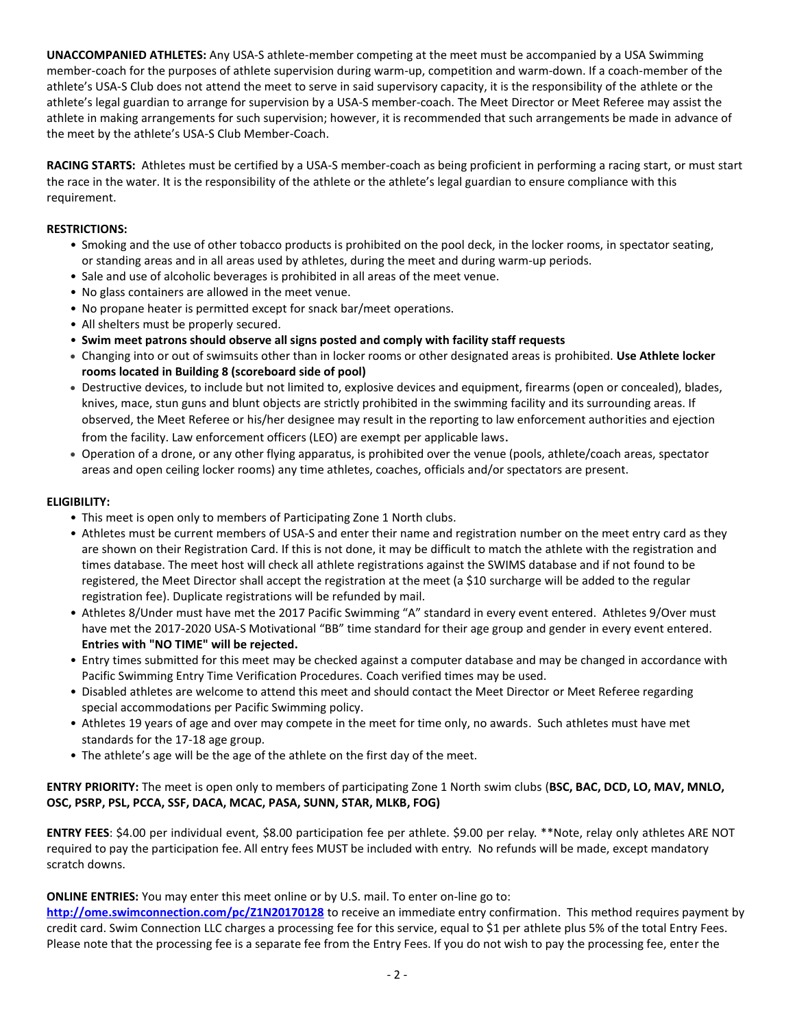**UNACCOMPANIED ATHLETES:** Any USA-S athlete-member competing at the meet must be accompanied by a USA Swimming member-coach for the purposes of athlete supervision during warm-up, competition and warm-down. If a coach-member of the athlete's USA-S Club does not attend the meet to serve in said supervisory capacity, it is the responsibility of the athlete or the athlete's legal guardian to arrange for supervision by a USA-S member-coach. The Meet Director or Meet Referee may assist the athlete in making arrangements for such supervision; however, it is recommended that such arrangements be made in advance of the meet by the athlete's USA-S Club Member-Coach.

**RACING STARTS:** Athletes must be certified by a USA-S member-coach as being proficient in performing a racing start, or must start the race in the water. It is the responsibility of the athlete or the athlete's legal guardian to ensure compliance with this requirement.

## **RESTRICTIONS:**

- Smoking and the use of other tobacco products is prohibited on the pool deck, in the locker rooms, in spectator seating, or standing areas and in all areas used by athletes, during the meet and during warm-up periods.
- Sale and use of alcoholic beverages is prohibited in all areas of the meet venue.
- No glass containers are allowed in the meet venue.
- No propane heater is permitted except for snack bar/meet operations.
- All shelters must be properly secured.
- **Swim meet patrons should observe all signs posted and comply with facility staff requests**
- Changing into or out of swimsuits other than in locker rooms or other designated areas is prohibited. **Use Athlete locker rooms located in Building 8 (scoreboard side of pool)**
- Destructive devices, to include but not limited to, explosive devices and equipment, firearms (open or concealed), blades, knives, mace, stun guns and blunt objects are strictly prohibited in the swimming facility and its surrounding areas. If observed, the Meet Referee or his/her designee may result in the reporting to law enforcement authorities and ejection from the facility. Law enforcement officers (LEO) are exempt per applicable laws.
- Operation of a drone, or any other flying apparatus, is prohibited over the venue (pools, athlete/coach areas, spectator areas and open ceiling locker rooms) any time athletes, coaches, officials and/or spectators are present.

#### **ELIGIBILITY:**

- This meet is open only to members of Participating Zone 1 North clubs.
- Athletes must be current members of USA-S and enter their name and registration number on the meet entry card as they are shown on their Registration Card. If this is not done, it may be difficult to match the athlete with the registration and times database. The meet host will check all athlete registrations against the SWIMS database and if not found to be registered, the Meet Director shall accept the registration at the meet (a \$10 surcharge will be added to the regular registration fee). Duplicate registrations will be refunded by mail.
- Athletes 8/Under must have met the 2017 Pacific Swimming "A" standard in every event entered. Athletes 9/Over must have met the 2017-2020 USA-S Motivational "BB" time standard for their age group and gender in every event entered. **Entries with "NO TIME" will be rejected.**
- Entry times submitted for this meet may be checked against a computer database and may be changed in accordance with Pacific Swimming Entry Time Verification Procedures. Coach verified times may be used.
- Disabled athletes are welcome to attend this meet and should contact the Meet Director or Meet Referee regarding special accommodations per Pacific Swimming policy.
- Athletes 19 years of age and over may compete in the meet for time only, no awards. Such athletes must have met standards for the 17-18 age group.
- The athlete's age will be the age of the athlete on the first day of the meet.

## **ENTRY PRIORITY:** The meet is open only to members of participating Zone 1 North swim clubs (**BSC, BAC, DCD, LO, MAV, MNLO, OSC, PSRP, PSL, PCCA, SSF, DACA, MCAC, PASA, SUNN, STAR, MLKB, FOG)**

**ENTRY FEES**: \$4.00 per individual event, \$8.00 participation fee per athlete. \$9.00 per relay. \*\*Note, relay only athletes ARE NOT required to pay the participation fee. All entry fees MUST be included with entry. No refunds will be made, except mandatory scratch downs.

**ONLINE ENTRIES:** You may enter this meet online or by U.S. mail. To enter on-line go to:

**<http://ome.swimconnection.com/pc/Z1N20170128>** to receive an immediate entry confirmation. This method requires payment by credit card. Swim Connection LLC charges a processing fee for this service, equal to \$1 per athlete plus 5% of the total Entry Fees. Please note that the processing fee is a separate fee from the Entry Fees. If you do not wish to pay the processing fee, enter the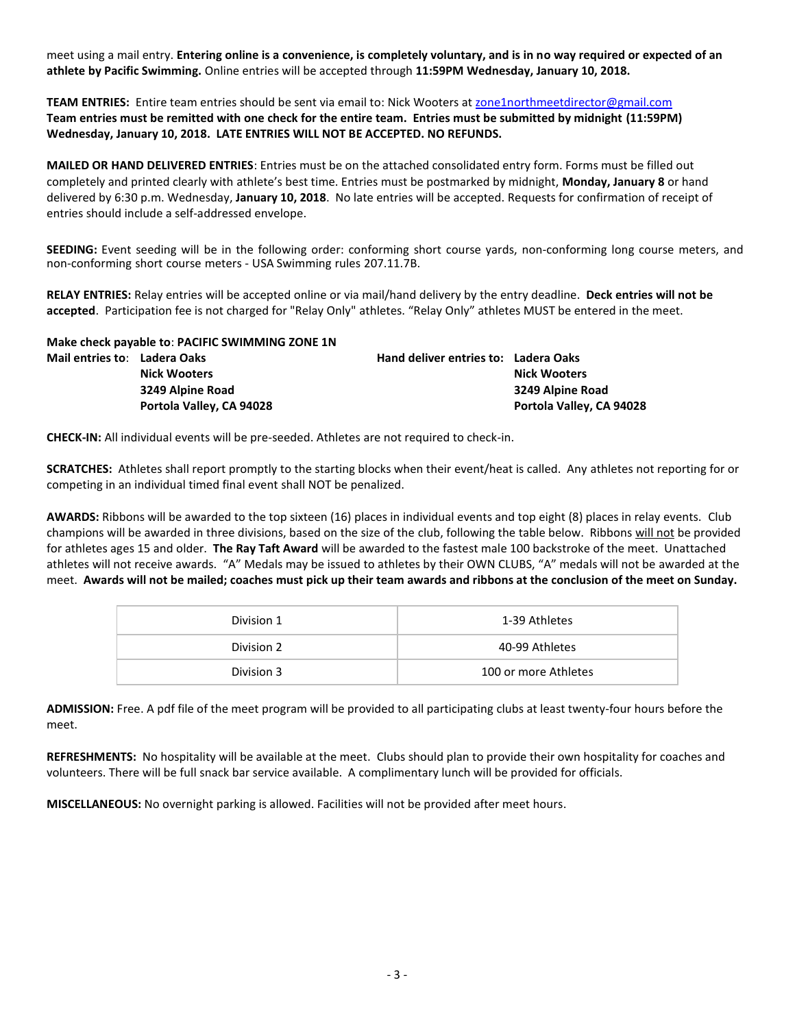meet using a mail entry. **Entering online is a convenience, is completely voluntary, and is in no way required or expected of an athlete by Pacific Swimming.** Online entries will be accepted through **11:59PM Wednesday, January 10, 2018.**

**TEAM ENTRIES:** Entire team entries should be sent via email to: Nick Wooters at [zone1northmeetdirector@gmail.com](mailto:zone1northmeetdirector@gmail.com) **Team entries must be remitted with one check for the entire team. Entries must be submitted by midnight (11:59PM) Wednesday, January 10, 2018. LATE ENTRIES WILL NOT BE ACCEPTED. NO REFUNDS.**

**MAILED OR HAND DELIVERED ENTRIES**: Entries must be on the attached consolidated entry form. Forms must be filled out completely and printed clearly with athlete's best time. Entries must be postmarked by midnight, **Monday, January 8** or hand delivered by 6:30 p.m. Wednesday, **January 10, 2018**. No late entries will be accepted. Requests for confirmation of receipt of entries should include a self-addressed envelope.

**SEEDING:** Event seeding will be in the following order: conforming short course yards, non-conforming long course meters, and non-conforming short course meters - USA Swimming rules 207.11.7B.

**RELAY ENTRIES:** Relay entries will be accepted online or via mail/hand delivery by the entry deadline. **Deck entries will not be accepted**. Participation fee is not charged for "Relay Only" athletes. "Relay Only" athletes MUST be entered in the meet.

|                              | Make check payable to: PACIFIC SWIMMING ZONE 1N |                                      |                          |
|------------------------------|-------------------------------------------------|--------------------------------------|--------------------------|
| Mail entries to: Ladera Oaks |                                                 | Hand deliver entries to: Ladera Oaks |                          |
|                              | <b>Nick Wooters</b>                             |                                      | <b>Nick Wooters</b>      |
|                              | 3249 Alpine Road                                |                                      | 3249 Alpine Road         |
|                              | Portola Valley, CA 94028                        |                                      | Portola Valley, CA 94028 |

**CHECK-IN:** All individual events will be pre-seeded. Athletes are not required to check-in.

**SCRATCHES:** Athletes shall report promptly to the starting blocks when their event/heat is called. Any athletes not reporting for or competing in an individual timed final event shall NOT be penalized.

**AWARDS:** Ribbons will be awarded to the top sixteen (16) places in individual events and top eight (8) places in relay events. Club champions will be awarded in three divisions, based on the size of the club, following the table below. Ribbons will not be provided for athletes ages 15 and older. **The Ray Taft Award** will be awarded to the fastest male 100 backstroke of the meet. Unattached athletes will not receive awards. "A" Medals may be issued to athletes by their OWN CLUBS, "A" medals will not be awarded at the meet. **Awards will not be mailed; coaches must pick up their team awards and ribbons at the conclusion of the meet on Sunday.** 

| Division 1 | 1-39 Athletes        |
|------------|----------------------|
| Division 2 | 40-99 Athletes       |
| Division 3 | 100 or more Athletes |

**ADMISSION:** Free. A pdf file of the meet program will be provided to all participating clubs at least twenty-four hours before the meet.

**REFRESHMENTS:** No hospitality will be available at the meet. Clubs should plan to provide their own hospitality for coaches and volunteers. There will be full snack bar service available. A complimentary lunch will be provided for officials.

**MISCELLANEOUS:** No overnight parking is allowed. Facilities will not be provided after meet hours.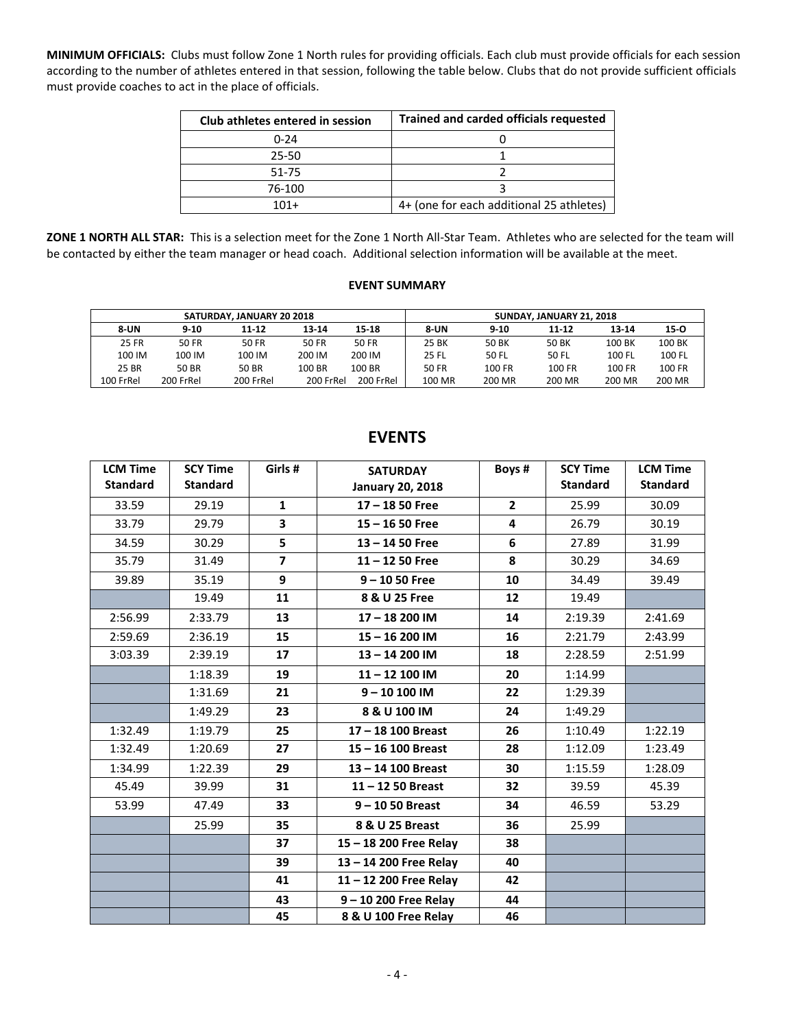**MINIMUM OFFICIALS:** Clubs must follow Zone 1 North rules for providing officials. Each club must provide officials for each session according to the number of athletes entered in that session, following the table below. Clubs that do not provide sufficient officials must provide coaches to act in the place of officials.

| Club athletes entered in session | <b>Trained and carded officials requested</b> |
|----------------------------------|-----------------------------------------------|
| $0 - 24$                         |                                               |
| $25 - 50$                        |                                               |
| 51-75                            |                                               |
| 76-100                           |                                               |
| $101+$                           | 4+ (one for each additional 25 athletes)      |

**ZONE 1 NORTH ALL STAR:** This is a selection meet for the Zone 1 North All-Star Team. Athletes who are selected for the team will be contacted by either the team manager or head coach. Additional selection information will be available at the meet.

#### **EVENT SUMMARY**

|              |           | SATURDAY, JANUARY 20 2018 |           |              |             | SUNDAY, JANUARY 21, 2018 |           |        |        |
|--------------|-----------|---------------------------|-----------|--------------|-------------|--------------------------|-----------|--------|--------|
| 8-UN         | $9 - 10$  | 11-12                     | 13-14     | 15-18        | <b>8-UN</b> | $9 - 10$                 | $11 - 12$ | 13-14  | 15-0   |
| <b>25 FR</b> | 50 FR     | 50 FR                     | 50 FR     | <b>50 FR</b> | 25 BK       | 50 BK                    | 50 BK     | 100 BK | 100 BK |
| 100 IM       | 100 IM    | 100 IM                    | 200 IM    | 200 IM       | 25 FL       | 50 FL                    | 50 FL     | 100 FL | 100 FL |
| 25 BR        | 50 BR     | 50 BR                     | 100 BR    | 100 BR       | 50 FR       | 100 FR                   | 100 FR    | 100 FR | 100 FR |
| 100 FrRel    | 200 FrRel | 200 FrRel                 | 200 FrRel | 200 FrRel    | 100 MR      | 200 MR                   | 200 MR    | 200 MR | 200 MR |

| <b>LCM Time</b><br><b>Standard</b> | <b>SCY Time</b><br><b>Standard</b> | Girls #                  | <b>SATURDAY</b><br><b>January 20, 2018</b> | Boys#          | <b>SCY Time</b><br><b>Standard</b> | <b>LCM Time</b><br><b>Standard</b> |
|------------------------------------|------------------------------------|--------------------------|--------------------------------------------|----------------|------------------------------------|------------------------------------|
| 33.59                              | 29.19                              | $\mathbf{1}$             | $17 - 1850$ Free                           | $\overline{2}$ | 25.99                              | 30.09                              |
| 33.79                              | 29.79                              | 3                        | $15 - 1650$ Free                           | 4              | 26.79                              | 30.19                              |
| 34.59                              | 30.29                              | 5                        | $13 - 1450$ Free                           | 6              | 27.89                              | 31.99                              |
| 35.79                              | 31.49                              | $\overline{\phantom{a}}$ | $11 - 1250$ Free                           | 8              | 30.29                              | 34.69                              |
| 39.89                              | 35.19                              | 9                        | $9 - 1050$ Free                            | 10             | 34.49                              | 39.49                              |
|                                    | 19.49                              | 11                       | 8 & U 25 Free                              | 12             | 19.49                              |                                    |
| 2:56.99                            | 2:33.79                            | 13                       | 17-18 200 IM                               | 14             | 2:19.39                            | 2:41.69                            |
| 2:59.69                            | 2:36.19                            | 15                       | 15-16 200 IM                               | 16             | 2:21.79                            | 2:43.99                            |
| 3:03.39                            | 2:39.19                            | 17                       | 13-14 200 IM                               | 18             | 2:28.59                            | 2:51.99                            |
|                                    | 1:18.39                            | 19                       | 11-12 100 IM                               | 20             | 1:14.99                            |                                    |
|                                    | 1:31.69                            | 21                       | $9 - 10 100$ IM                            | 22             | 1:29.39                            |                                    |
|                                    | 1:49.29                            | 23                       | 8 & U 100 IM                               | 24             | 1:49.29                            |                                    |
| 1:32.49                            | 1:19.79                            | 25                       | 17-18 100 Breast                           | 26             | 1:10.49                            | 1:22.19                            |
| 1:32.49                            | 1:20.69                            | 27                       | $15 - 16$ 100 Breast                       | 28             | 1:12.09                            | 1:23.49                            |
| 1:34.99                            | 1:22.39                            | 29                       | 13-14 100 Breast                           | 30             | 1:15.59                            | 1:28.09                            |
| 45.49                              | 39.99                              | 31                       | $11 - 1250$ Breast                         | 32             | 39.59                              | 45.39                              |
| 53.99                              | 47.49                              | 33                       | $9 - 1050$ Breast                          | 34             | 46.59                              | 53.29                              |
|                                    | 25.99                              | 35                       | 8 & U 25 Breast                            | 36             | 25.99                              |                                    |
|                                    |                                    | 37                       | 15 - 18 200 Free Relay                     | 38             |                                    |                                    |
|                                    |                                    | 39                       | 13-14 200 Free Relay                       | 40             |                                    |                                    |
|                                    |                                    | 41                       | 11-12 200 Free Relay                       | 42             |                                    |                                    |
|                                    |                                    | 43                       | 9-10 200 Free Relay                        | 44             |                                    |                                    |
|                                    |                                    | 45                       | 8 & U 100 Free Relay                       | 46             |                                    |                                    |

# **EVENTS**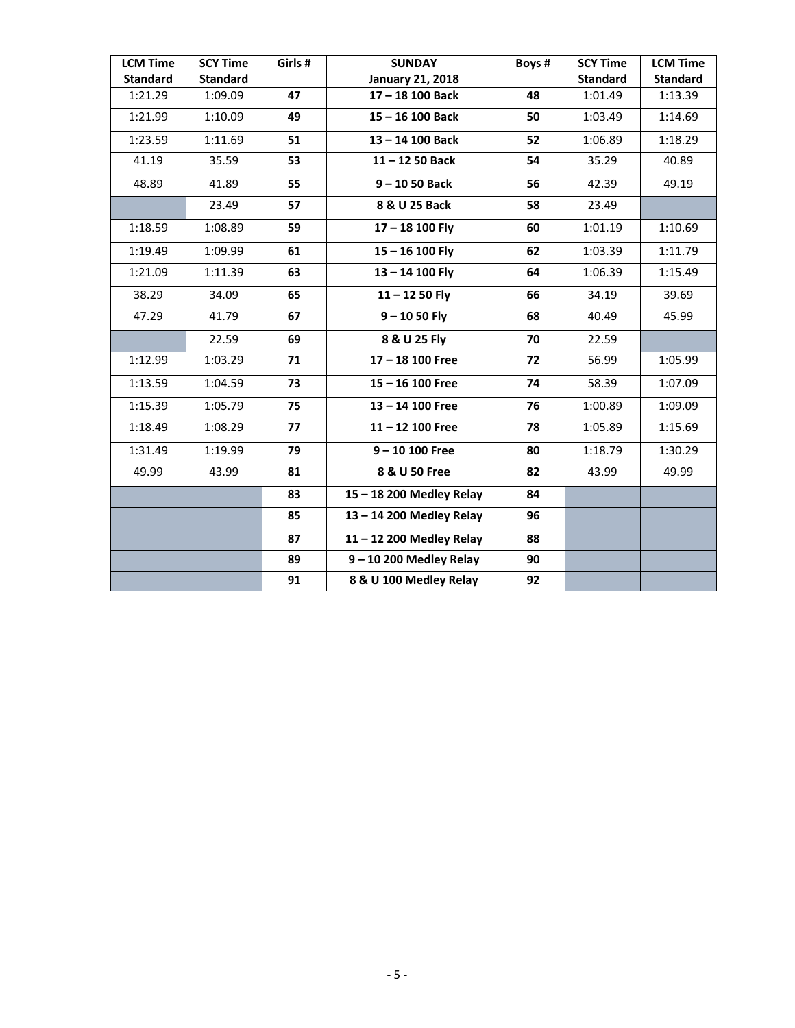| <b>LCM Time</b> | <b>SCY Time</b> | Girls # | <b>SUNDAY</b>             | Boys # | <b>SCY Time</b> | <b>LCM Time</b> |
|-----------------|-----------------|---------|---------------------------|--------|-----------------|-----------------|
| <b>Standard</b> | <b>Standard</b> |         | <b>January 21, 2018</b>   |        | <b>Standard</b> | <b>Standard</b> |
| 1:21.29         | 1:09.09         | 47      | 17-18 100 Back            | 48     | 1:01.49         | 1:13.39         |
| 1:21.99         | 1:10.09         | 49      | 15-16 100 Back            | 50     | 1:03.49         | 1:14.69         |
| 1:23.59         | 1:11.69         | 51      | 13-14 100 Back            | 52     | 1:06.89         | 1:18.29         |
| 41.19           | 35.59           | 53      | $11 - 1250$ Back          | 54     | 35.29           | 40.89           |
| 48.89           | 41.89           | 55      | $9 - 1050$ Back           | 56     | 42.39           | 49.19           |
|                 | 23.49           | 57      | 8 & U 25 Back             | 58     | 23.49           |                 |
| 1:18.59         | 1:08.89         | 59      | $17 - 18$ 100 Fly         | 60     | 1:01.19         | 1:10.69         |
| 1:19.49         | 1:09.99         | 61      | $15 - 16$ 100 Fly         | 62     | 1:03.39         | 1:11.79         |
| 1:21.09         | 1:11.39         | 63      | $13 - 14$ 100 Fly         | 64     | 1:06.39         | 1:15.49         |
| 38.29           | 34.09           | 65      | $11 - 1250$ Fly           | 66     | 34.19           | 39.69           |
| 47.29           | 41.79           | 67      | $9 - 1050$ Fly            | 68     | 40.49           | 45.99           |
|                 | 22.59           | 69      | 8 & U 25 Fly              | 70     | 22.59           |                 |
| 1:12.99         | 1:03.29         | 71      | 17-18 100 Free            | 72     | 56.99           | 1:05.99         |
| 1:13.59         | 1:04.59         | 73      | $15 - 16$ 100 Free        | 74     | 58.39           | 1:07.09         |
| 1:15.39         | 1:05.79         | 75      | 13-14 100 Free            | 76     | 1:00.89         | 1:09.09         |
| 1:18.49         | 1:08.29         | 77      | $11 - 12$ 100 Free        | 78     | 1:05.89         | 1:15.69         |
| 1:31.49         | 1:19.99         | 79      | $9 - 10 100$ Free         | 80     | 1:18.79         | 1:30.29         |
| 49.99           | 43.99           | 81      | 8 & U 50 Free             | 82     | 43.99           | 49.99           |
|                 |                 | 83      | 15-18 200 Medley Relay    | 84     |                 |                 |
|                 |                 | 85      | 13-14 200 Medley Relay    | 96     |                 |                 |
|                 |                 | 87      | 11-12 200 Medley Relay    | 88     |                 |                 |
|                 |                 | 89      | $9 - 10$ 200 Medley Relay | 90     |                 |                 |
|                 |                 | 91      | 8 & U 100 Medley Relay    | 92     |                 |                 |